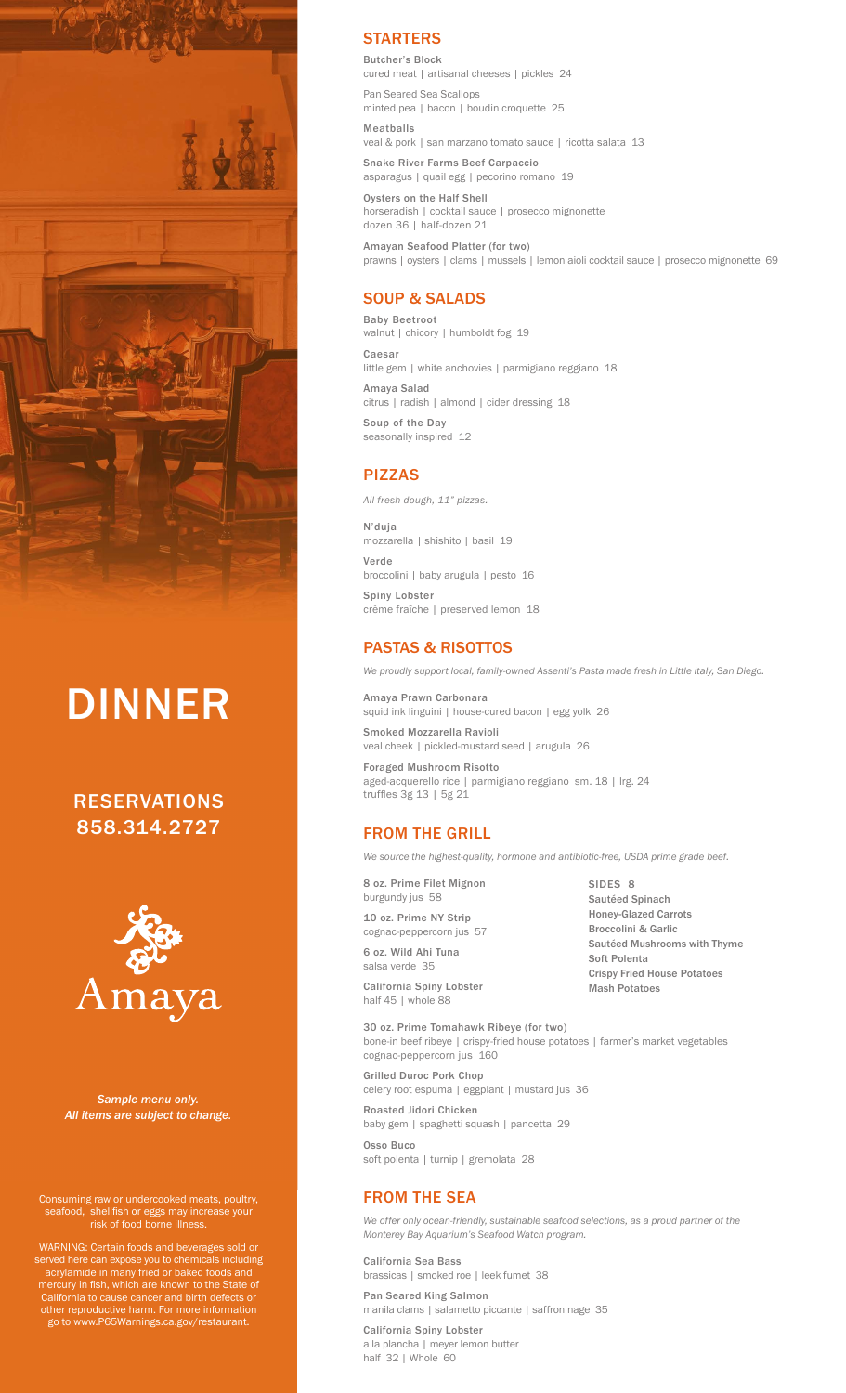

# DINNER

RESERVATIONS 858.314.2727



*Sample menu only. All items are subject to change.* 

Consuming raw or undercooked meats, poultry, seafood, shellfish or eggs may increase your risk of food borne illness.

WARNING: Certain foods and beverages sold or served here can expose you to chemicals including acrylamide in many fried or baked foods and mercury in fish, which are known to the State of California to cause cancer and birth defects or other reproductive harm. For more information go to www.P65Warnings.ca.gov/restaurant.

## **STARTERS**

Butcher's Block cured meat | artisanal cheeses | pickles 24 Pan Seared Sea Scallops minted pea | bacon | boudin croquette 25 Meatballs

veal & pork | san marzano tomato sauce | ricotta salata 13

Snake River Farms Beef Carpaccio asparagus | quail egg | pecorino romano 19

Oysters on the Half Shell horseradish | cocktail sauce | prosecco mignonette dozen 36 | half-dozen 21

Amayan Seafood Platter (for two) prawns | oysters | clams | mussels | lemon aioli cocktail sauce | prosecco mignonette 69

## SOUP & SALADS

Baby Beetroot walnut | chicory | humboldt fog 19 Caesar little gem | white anchovies | parmigiano reggiano 18 Amaya Salad

citrus | radish | almond | cider dressing 18

Soup of the Day seasonally inspired 12

# PIZZAS

*All fresh dough, 11" pizzas.*

N'duja mozzarella | shishito | basil 19 Verde broccolini | baby arugula | pesto 16 Spiny Lobster crème fraîche | preserved lemon 18

## PASTAS & RISOTTOS

*We proudly support local, family-owned Assenti's Pasta made fresh in Little Italy, San Diego.*

Amaya Prawn Carbonara squid ink linguini | house-cured bacon | egg yolk 26 Smoked Mozzarella Ravioli veal cheek | pickled-mustard seed | arugula 26

Foraged Mushroom Risotto aged-acquerello rice | parmigiano reggiano sm. 18 | lrg. 24 truffles 3g 13 | 5g 21

## FROM THE GRILL

*We source the highest-quality, hormone and antibiotic-free, USDA prime grade beef.*

8 oz. Prime Filet Mignon burgundy jus 58

10 oz. Prime NY Strip cognac-peppercorn jus 57

6 oz. Wild Ahi Tuna salsa verde 35

California Spiny Lobster half 45 | whole 88

SIDES 8 Sautéed Spinach Honey-Glazed Carrots Broccolini & Garlic Sautéed Mushrooms with Thyme Soft Polenta Crispy Fried House Potatoes Mash Potatoes

30 oz. Prime Tomahawk Ribeye (for two) bone-in beef ribeye | crispy-fried house potatoes | farmer's market vegetables cognac-peppercorn jus 160

Grilled Duroc Pork Chop celery root espuma | eggplant | mustard jus 36

Roasted Jidori Chicken baby gem | spaghetti squash | pancetta 29

Osso Buco soft polenta | turnip | gremolata 28

## FROM THE SEA

*We offer only ocean-friendly, sustainable seafood selections, as a proud partner of the Monterey Bay Aquarium's Seafood Watch program.*

California Sea Bass brassicas | smoked roe | leek fumet 38

Pan Seared King Salmon manila clams | salametto piccante | saffron nage 35

California Spiny Lobster a la plancha | meyer lemon butter half 32 | Whole 60